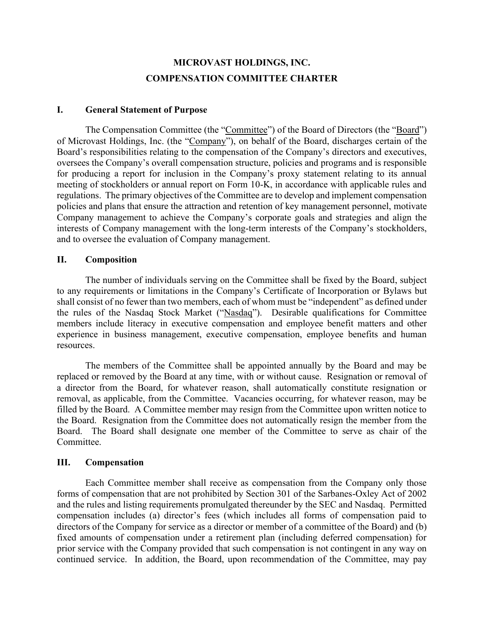# **MICROVAST HOLDINGS, INC. COMPENSATION COMMITTEE CHARTER**

#### **I. General Statement of Purpose**

The Compensation Committee (the "Committee") of the Board of Directors (the "Board") of Microvast Holdings, Inc. (the "Company"), on behalf of the Board, discharges certain of the Board's responsibilities relating to the compensation of the Company's directors and executives, oversees the Company's overall compensation structure, policies and programs and is responsible for producing a report for inclusion in the Company's proxy statement relating to its annual meeting of stockholders or annual report on Form 10-K, in accordance with applicable rules and regulations. The primary objectives of the Committee are to develop and implement compensation policies and plans that ensure the attraction and retention of key management personnel, motivate Company management to achieve the Company's corporate goals and strategies and align the interests of Company management with the long-term interests of the Company's stockholders, and to oversee the evaluation of Company management.

#### **II. Composition**

The number of individuals serving on the Committee shall be fixed by the Board, subject to any requirements or limitations in the Company's Certificate of Incorporation or Bylaws but shall consist of no fewer than two members, each of whom must be "independent" as defined under the rules of the Nasdaq Stock Market ("Nasdaq"). Desirable qualifications for Committee members include literacy in executive compensation and employee benefit matters and other experience in business management, executive compensation, employee benefits and human resources.

The members of the Committee shall be appointed annually by the Board and may be replaced or removed by the Board at any time, with or without cause. Resignation or removal of a director from the Board, for whatever reason, shall automatically constitute resignation or removal, as applicable, from the Committee. Vacancies occurring, for whatever reason, may be filled by the Board. A Committee member may resign from the Committee upon written notice to the Board. Resignation from the Committee does not automatically resign the member from the Board. The Board shall designate one member of the Committee to serve as chair of the Committee.

#### **III. Compensation**

Each Committee member shall receive as compensation from the Company only those forms of compensation that are not prohibited by Section 301 of the Sarbanes-Oxley Act of 2002 and the rules and listing requirements promulgated thereunder by the SEC and Nasdaq. Permitted compensation includes (a) director's fees (which includes all forms of compensation paid to directors of the Company for service as a director or member of a committee of the Board) and (b) fixed amounts of compensation under a retirement plan (including deferred compensation) for prior service with the Company provided that such compensation is not contingent in any way on continued service. In addition, the Board, upon recommendation of the Committee, may pay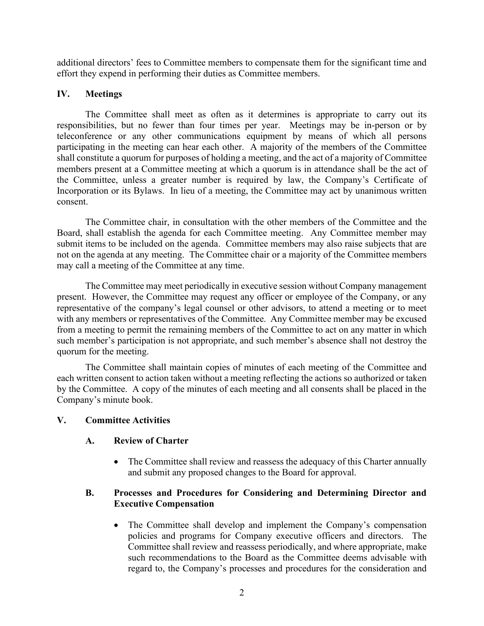additional directors' fees to Committee members to compensate them for the significant time and effort they expend in performing their duties as Committee members.

#### **IV. Meetings**

The Committee shall meet as often as it determines is appropriate to carry out its responsibilities, but no fewer than four times per year. Meetings may be in-person or by teleconference or any other communications equipment by means of which all persons participating in the meeting can hear each other. A majority of the members of the Committee shall constitute a quorum for purposes of holding a meeting, and the act of a majority of Committee members present at a Committee meeting at which a quorum is in attendance shall be the act of the Committee, unless a greater number is required by law, the Company's Certificate of Incorporation or its Bylaws. In lieu of a meeting, the Committee may act by unanimous written consent.

The Committee chair, in consultation with the other members of the Committee and the Board, shall establish the agenda for each Committee meeting. Any Committee member may submit items to be included on the agenda. Committee members may also raise subjects that are not on the agenda at any meeting. The Committee chair or a majority of the Committee members may call a meeting of the Committee at any time.

The Committee may meet periodically in executive session without Company management present. However, the Committee may request any officer or employee of the Company, or any representative of the company's legal counsel or other advisors, to attend a meeting or to meet with any members or representatives of the Committee. Any Committee member may be excused from a meeting to permit the remaining members of the Committee to act on any matter in which such member's participation is not appropriate, and such member's absence shall not destroy the quorum for the meeting.

The Committee shall maintain copies of minutes of each meeting of the Committee and each written consent to action taken without a meeting reflecting the actions so authorized or taken by the Committee. A copy of the minutes of each meeting and all consents shall be placed in the Company's minute book.

#### **V. Committee Activities**

## **A. Review of Charter**

• The Committee shall review and reassess the adequacy of this Charter annually and submit any proposed changes to the Board for approval.

#### **B. Processes and Procedures for Considering and Determining Director and Executive Compensation**

• The Committee shall develop and implement the Company's compensation policies and programs for Company executive officers and directors. The Committee shall review and reassess periodically, and where appropriate, make such recommendations to the Board as the Committee deems advisable with regard to, the Company's processes and procedures for the consideration and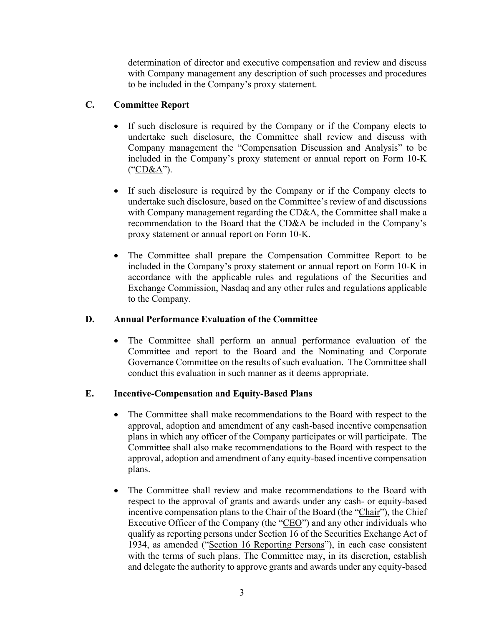determination of director and executive compensation and review and discuss with Company management any description of such processes and procedures to be included in the Company's proxy statement.

# **C. Committee Report**

- If such disclosure is required by the Company or if the Company elects to undertake such disclosure, the Committee shall review and discuss with Company management the "Compensation Discussion and Analysis" to be included in the Company's proxy statement or annual report on Form 10-K ("CD&A").
- If such disclosure is required by the Company or if the Company elects to undertake such disclosure, based on the Committee's review of and discussions with Company management regarding the CD&A, the Committee shall make a recommendation to the Board that the CD&A be included in the Company's proxy statement or annual report on Form 10-K.
- The Committee shall prepare the Compensation Committee Report to be included in the Company's proxy statement or annual report on Form 10-K in accordance with the applicable rules and regulations of the Securities and Exchange Commission, Nasdaq and any other rules and regulations applicable to the Company.

## **D. Annual Performance Evaluation of the Committee**

• The Committee shall perform an annual performance evaluation of the Committee and report to the Board and the Nominating and Corporate Governance Committee on the results of such evaluation. The Committee shall conduct this evaluation in such manner as it deems appropriate.

## **E. Incentive-Compensation and Equity-Based Plans**

- The Committee shall make recommendations to the Board with respect to the approval, adoption and amendment of any cash-based incentive compensation plans in which any officer of the Company participates or will participate. The Committee shall also make recommendations to the Board with respect to the approval, adoption and amendment of any equity-based incentive compensation plans.
- The Committee shall review and make recommendations to the Board with respect to the approval of grants and awards under any cash- or equity-based incentive compensation plans to the Chair of the Board (the "Chair"), the Chief Executive Officer of the Company (the "CEO") and any other individuals who qualify as reporting persons under Section 16 of the Securities Exchange Act of 1934, as amended ("Section 16 Reporting Persons"), in each case consistent with the terms of such plans. The Committee may, in its discretion, establish and delegate the authority to approve grants and awards under any equity-based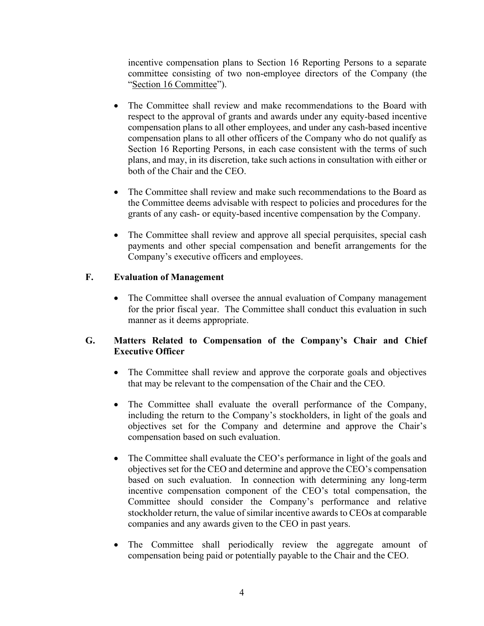incentive compensation plans to Section 16 Reporting Persons to a separate committee consisting of two non-employee directors of the Company (the "Section 16 Committee").

- The Committee shall review and make recommendations to the Board with respect to the approval of grants and awards under any equity-based incentive compensation plans to all other employees, and under any cash-based incentive compensation plans to all other officers of the Company who do not qualify as Section 16 Reporting Persons, in each case consistent with the terms of such plans, and may, in its discretion, take such actions in consultation with either or both of the Chair and the CEO.
- The Committee shall review and make such recommendations to the Board as the Committee deems advisable with respect to policies and procedures for the grants of any cash- or equity-based incentive compensation by the Company.
- The Committee shall review and approve all special perquisites, special cash payments and other special compensation and benefit arrangements for the Company's executive officers and employees.

## **F. Evaluation of Management**

• The Committee shall oversee the annual evaluation of Company management for the prior fiscal year. The Committee shall conduct this evaluation in such manner as it deems appropriate.

## **G. Matters Related to Compensation of the Company's Chair and Chief Executive Officer**

- The Committee shall review and approve the corporate goals and objectives that may be relevant to the compensation of the Chair and the CEO.
- The Committee shall evaluate the overall performance of the Company, including the return to the Company's stockholders, in light of the goals and objectives set for the Company and determine and approve the Chair's compensation based on such evaluation.
- The Committee shall evaluate the CEO's performance in light of the goals and objectives set for the CEO and determine and approve the CEO's compensation based on such evaluation. In connection with determining any long-term incentive compensation component of the CEO's total compensation, the Committee should consider the Company's performance and relative stockholder return, the value of similar incentive awards to CEOs at comparable companies and any awards given to the CEO in past years.
- The Committee shall periodically review the aggregate amount of compensation being paid or potentially payable to the Chair and the CEO.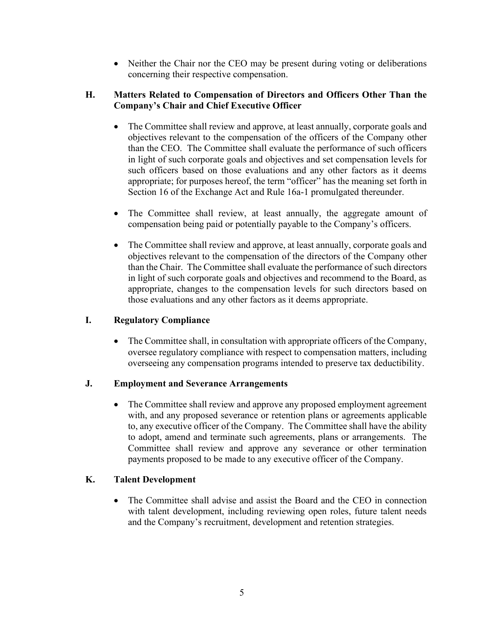• Neither the Chair nor the CEO may be present during voting or deliberations concerning their respective compensation.

#### **H. Matters Related to Compensation of Directors and Officers Other Than the Company's Chair and Chief Executive Officer**

- The Committee shall review and approve, at least annually, corporate goals and objectives relevant to the compensation of the officers of the Company other than the CEO. The Committee shall evaluate the performance of such officers in light of such corporate goals and objectives and set compensation levels for such officers based on those evaluations and any other factors as it deems appropriate; for purposes hereof, the term "officer" has the meaning set forth in Section 16 of the Exchange Act and Rule 16a-1 promulgated thereunder.
- The Committee shall review, at least annually, the aggregate amount of compensation being paid or potentially payable to the Company's officers.
- The Committee shall review and approve, at least annually, corporate goals and objectives relevant to the compensation of the directors of the Company other than the Chair. The Committee shall evaluate the performance of such directors in light of such corporate goals and objectives and recommend to the Board, as appropriate, changes to the compensation levels for such directors based on those evaluations and any other factors as it deems appropriate.

## **I. Regulatory Compliance**

• The Committee shall, in consultation with appropriate officers of the Company, oversee regulatory compliance with respect to compensation matters, including overseeing any compensation programs intended to preserve tax deductibility.

## **J. Employment and Severance Arrangements**

• The Committee shall review and approve any proposed employment agreement with, and any proposed severance or retention plans or agreements applicable to, any executive officer of the Company. The Committee shall have the ability to adopt, amend and terminate such agreements, plans or arrangements. The Committee shall review and approve any severance or other termination payments proposed to be made to any executive officer of the Company.

## **K. Talent Development**

• The Committee shall advise and assist the Board and the CEO in connection with talent development, including reviewing open roles, future talent needs and the Company's recruitment, development and retention strategies.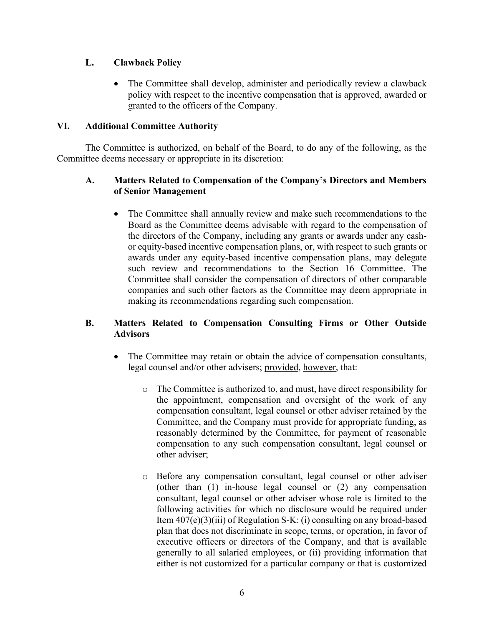# **L. Clawback Policy**

• The Committee shall develop, administer and periodically review a clawback policy with respect to the incentive compensation that is approved, awarded or granted to the officers of the Company.

## **VI. Additional Committee Authority**

The Committee is authorized, on behalf of the Board, to do any of the following, as the Committee deems necessary or appropriate in its discretion:

## **A. Matters Related to Compensation of the Company's Directors and Members of Senior Management**

• The Committee shall annually review and make such recommendations to the Board as the Committee deems advisable with regard to the compensation of the directors of the Company, including any grants or awards under any cashor equity-based incentive compensation plans, or, with respect to such grants or awards under any equity-based incentive compensation plans, may delegate such review and recommendations to the Section 16 Committee. The Committee shall consider the compensation of directors of other comparable companies and such other factors as the Committee may deem appropriate in making its recommendations regarding such compensation.

# **B. Matters Related to Compensation Consulting Firms or Other Outside Advisors**

- The Committee may retain or obtain the advice of compensation consultants, legal counsel and/or other advisers; provided, however, that:
	- o The Committee is authorized to, and must, have direct responsibility for the appointment, compensation and oversight of the work of any compensation consultant, legal counsel or other adviser retained by the Committee, and the Company must provide for appropriate funding, as reasonably determined by the Committee, for payment of reasonable compensation to any such compensation consultant, legal counsel or other adviser;
	- o Before any compensation consultant, legal counsel or other adviser (other than (1) in-house legal counsel or (2) any compensation consultant, legal counsel or other adviser whose role is limited to the following activities for which no disclosure would be required under Item 407(e)(3)(iii) of Regulation S-K: (i) consulting on any broad-based plan that does not discriminate in scope, terms, or operation, in favor of executive officers or directors of the Company, and that is available generally to all salaried employees, or (ii) providing information that either is not customized for a particular company or that is customized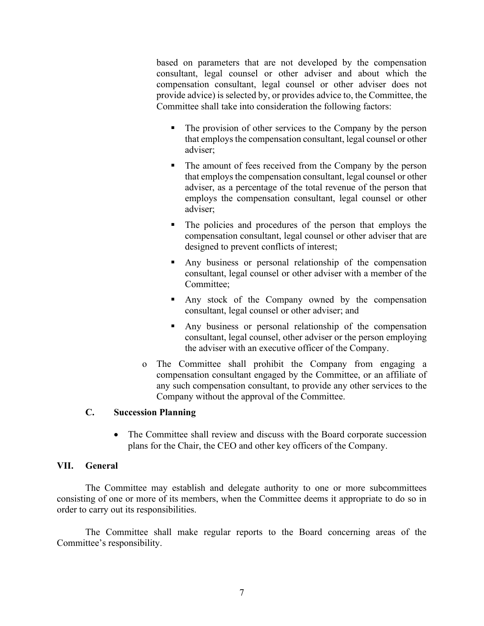based on parameters that are not developed by the compensation consultant, legal counsel or other adviser and about which the compensation consultant, legal counsel or other adviser does not provide advice) is selected by, or provides advice to, the Committee, the Committee shall take into consideration the following factors:

- The provision of other services to the Company by the person that employs the compensation consultant, legal counsel or other adviser;
- The amount of fees received from the Company by the person that employs the compensation consultant, legal counsel or other adviser, as a percentage of the total revenue of the person that employs the compensation consultant, legal counsel or other adviser;
- The policies and procedures of the person that employs the compensation consultant, legal counsel or other adviser that are designed to prevent conflicts of interest;
- Any business or personal relationship of the compensation consultant, legal counsel or other adviser with a member of the Committee;
- Any stock of the Company owned by the compensation consultant, legal counsel or other adviser; and
- Any business or personal relationship of the compensation consultant, legal counsel, other adviser or the person employing the adviser with an executive officer of the Company.
- o The Committee shall prohibit the Company from engaging a compensation consultant engaged by the Committee, or an affiliate of any such compensation consultant, to provide any other services to the Company without the approval of the Committee.

#### **C. Succession Planning**

• The Committee shall review and discuss with the Board corporate succession plans for the Chair, the CEO and other key officers of the Company.

#### **VII. General**

The Committee may establish and delegate authority to one or more subcommittees consisting of one or more of its members, when the Committee deems it appropriate to do so in order to carry out its responsibilities.

The Committee shall make regular reports to the Board concerning areas of the Committee's responsibility.